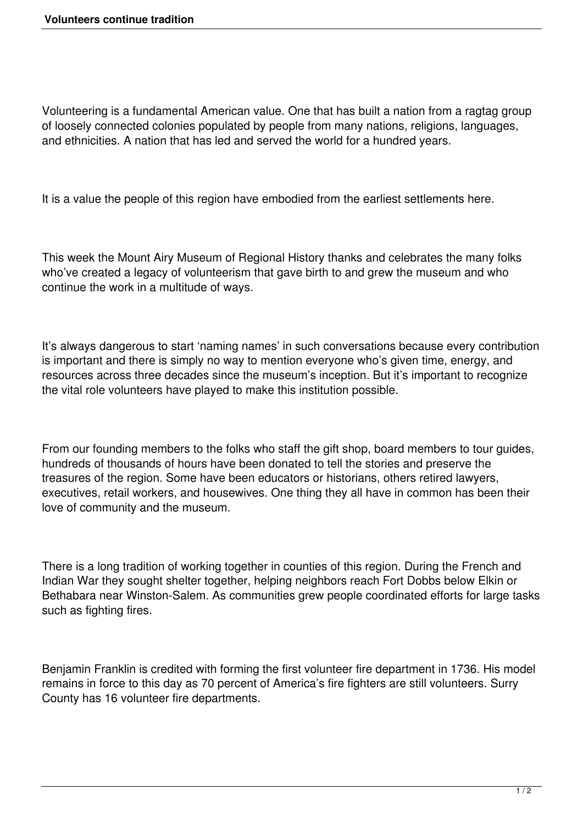Volunteering is a fundamental American value. One that has built a nation from a ragtag group of loosely connected colonies populated by people from many nations, religions, languages, and ethnicities. A nation that has led and served the world for a hundred years.

It is a value the people of this region have embodied from the earliest settlements here.

This week the Mount Airy Museum of Regional History thanks and celebrates the many folks who've created a legacy of volunteerism that gave birth to and grew the museum and who continue the work in a multitude of ways.

It's always dangerous to start 'naming names' in such conversations because every contribution is important and there is simply no way to mention everyone who's given time, energy, and resources across three decades since the museum's inception. But it's important to recognize the vital role volunteers have played to make this institution possible.

From our founding members to the folks who staff the gift shop, board members to tour guides, hundreds of thousands of hours have been donated to tell the stories and preserve the treasures of the region. Some have been educators or historians, others retired lawyers, executives, retail workers, and housewives. One thing they all have in common has been their love of community and the museum.

There is a long tradition of working together in counties of this region. During the French and Indian War they sought shelter together, helping neighbors reach Fort Dobbs below Elkin or Bethabara near Winston-Salem. As communities grew people coordinated efforts for large tasks such as fighting fires.

Benjamin Franklin is credited with forming the first volunteer fire department in 1736. His model remains in force to this day as 70 percent of America's fire fighters are still volunteers. Surry County has 16 volunteer fire departments.